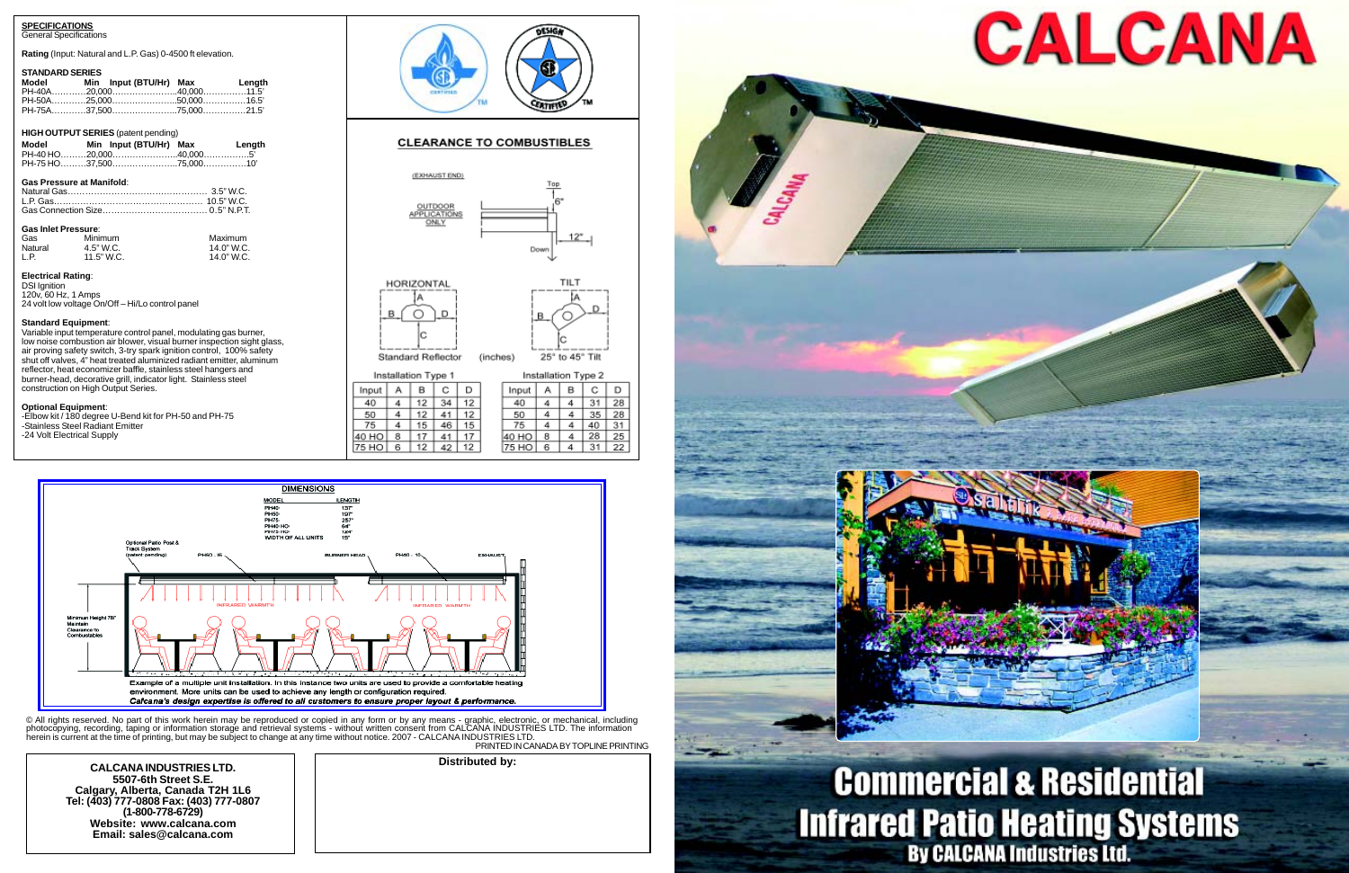**CALCANA INDUSTRIES LTD. 5507-6th Street S.E. Calgary, Alberta, Canada T2H 1L6 Tel: (403) 777-0808 Fax: (403) 777-0807 (1-800-778-6729) Website: www.calcana.com Email: sales@calcana.com**



## **Commercial & Residential Infrared Patio Heating Systems**<br>By CALCANA Industries Ltd.

**Distributed by:**

© All rights reserved. No part of this work herein may be reproduced or copied in any form or by any means - graphic, electronic, or mechanical, including<br>photocopying, recording, taping or information storage and retrieva herein is current at the time of printing, but may be subject to change at any time without notice. 2007 - CALCANA INDUSTRIES LTD. PRINTED IN CANADA BY TOPLINE PRINTING

#### **SPECIFICATIONS**

General Specifications

**Rating** (Input: Natural and L.P. Gas) 0-4500 ft elevation.

#### **STANDARD SERIES**

| <b>Model</b> | Min Input (BTU/Hr) Max | Length |
|--------------|------------------------|--------|
|              |                        |        |
|              |                        |        |
|              |                        |        |

#### **HIGH OUTPUT SERIES** (patent pending)

|                                  | Model Min Input (BTU/Hr) Max Length |  |
|----------------------------------|-------------------------------------|--|
| <b>Gas Pressure at Manifold:</b> |                                     |  |

#### Gas Connection Size……………………………… 0.5" N.P.T.

| <b>Gas Inlet Pressure:</b> |              |            |  |  |  |  |
|----------------------------|--------------|------------|--|--|--|--|
| Gas                        | Minimum      | Maximum    |  |  |  |  |
| Natural                    | 4.5" W.C.    | 14.0" W.C. |  |  |  |  |
| I P                        | $11.5"$ W.C. | 14.0" W.C. |  |  |  |  |

#### **Electrical Rating**:

DSI Ignition 120v, 60 Hz, 1 Amps 24 volt low voltage On/Off – Hi/Lo control panel

#### **Standard Equipment**:

Variable input temperature control panel, modulating gas burner, low noise combustion air blower, visual burner inspection sight glass, air proving safety switch, 3-try spark ignition control, 100% safety shut off valves, 4" heat treated aluminized radiant emitter, aluminum reflector, heat economizer baffle, stainless steel hangers and burner-head, decorative grill, indicator light. Stainless steel construction on High Output Series.

#### **Optional Equipment**:

-Elbow kit / 180 degree U-Bend kit for PH-50 and PH-75 -Stainless Steel Radiant Emitter -24 Volt Electrical Supply



#### **CLEARANCE TO COMBUSTIBLES**





(inches)

Standard Reflector

25° to 45° Tilt

| Installation Type 1 |   |    | Installation Type 2 |    |  |       |   |   |    |    |
|---------------------|---|----|---------------------|----|--|-------|---|---|----|----|
| Input               | А | в  | С                   | D  |  | Input |   | в | с  |    |
| 40                  |   | 12 | 34                  | 12 |  | 40    |   |   | 31 | 28 |
| 50                  |   | 12 |                     | 12 |  | 50    |   |   | 35 | 28 |
| 75                  |   | 15 | 46                  | 15 |  | 75    |   |   | 40 | 31 |
| 40 HO               | 8 |    |                     | 17 |  | 40 HO | 8 |   | 28 | 25 |
| 75 HO               | 6 | 12 | 42                  | 12 |  | 75 HO | 6 |   | 31 | 22 |